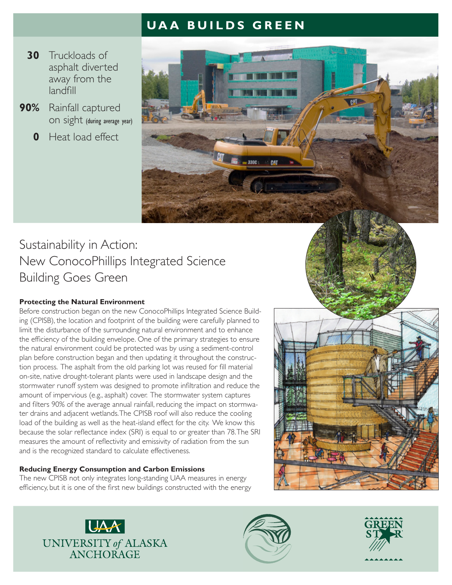# **UAA BUILDS GREEN**

- **30** Truckloads of asphalt diverted away from the landfill
- **90%** Rainfall captured on sight (during average year)
	- **0** Heat load effect



# Sustainability in Action: New ConocoPhillips Integrated Science Building Goes Green

### **Protecting the Natural Environment**

Before construction began on the new ConocoPhillips Integrated Science Building (CPISB), the location and footprint of the building were carefully planned to limit the disturbance of the surrounding natural environment and to enhance the efficiency of the building envelope. One of the primary strategies to ensure the natural environment could be protected was by using a sediment-control plan before construction began and then updating it throughout the construction process. The asphalt from the old parking lot was reused for fill material on-site, native drought-tolerant plants were used in landscape design and the stormwater runoff system was designed to promote infiltration and reduce the amount of impervious (e.g., asphalt) cover. The stormwater system captures and filters 90% of the average annual rainfall, reducing the impact on stormwater drains and adjacent wetlands. The CPISB roof will also reduce the cooling load of the building as well as the heat-island effect for the city. We know this because the solar reflectance index (SRI) is equal to or greater than 78. The SRI measures the amount of reflectivity and emissivity of radiation from the sun and is the recognized standard to calculate effectiveness.

### **Reducing Energy Consumption and Carbon Emissions**

The new CPISB not only integrates long-standing UAA measures in energy efficiency, but it is one of the first new buildings constructed with the energy